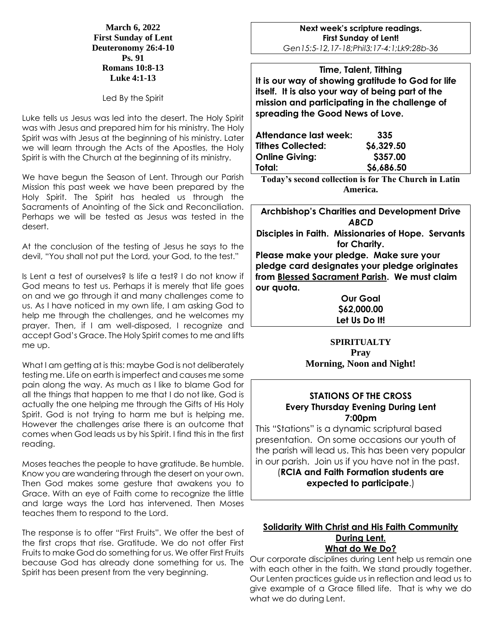#### **March 6, 2022 First Sunday of Lent Deuteronomy 26:4-10 Ps. 91 Romans 10:8-13 Luke 4:1-13**

Led By the Spirit

Luke tells us Jesus was led into the desert. The Holy Spirit was with Jesus and prepared him for his ministry. The Holy Spirit was with Jesus at the beginning of his ministry. Later we will learn through the Acts of the Apostles, the Holy Spirit is with the Church at the beginning of its ministry.

We have begun the Season of Lent. Through our Parish Mission this past week we have been prepared by the Holy Spirit. The Spirit has healed us through the Sacraments of Anointing of the Sick and Reconciliation. Perhaps we will be tested as Jesus was tested in the desert.

At the conclusion of the testing of Jesus he says to the devil, "You shall not put the Lord, your God, to the test."

Is Lent a test of ourselves? Is life a test? I do not know if God means to test us. Perhaps it is merely that life goes on and we go through it and many challenges come to us. As I have noticed in my own life, I am asking God to help me through the challenges, and he welcomes my prayer. Then, if I am well-disposed, I recognize and accept God's Grace. The Holy Spirit comes to me and lifts me up.

What I am getting at is this: maybe God is not deliberately testing me. Life on earth is imperfect and causes me some pain along the way. As much as I like to blame God for all the things that happen to me that I do not like, God is actually the one helping me through the Gifts of His Holy Spirit. God is not trying to harm me but is helping me. However the challenges arise there is an outcome that comes when God leads us by his Spirit. I find this in the first reading.

Moses teaches the people to have gratitude. Be humble. Know you are wandering through the desert on your own. Then God makes some gesture that awakens you to Grace. With an eye of Faith come to recognize the little and large ways the Lord has intervened. Then Moses teaches them to respond to the Lord.

The response is to offer "First Fruits". We offer the best of the first crops that rise. Gratitude. We do not offer First Fruits to make God do something for us. We offer First Fruits because God has already done something for us. The Spirit has been present from the very beginning.

**Next week's scripture readings. First Sunday of Lent!** *Gen15:5-12,17-18;Phil3:17-4:1;Lk9:28b-36*

**Time, Talent, Tithing It is our way of showing gratitude to God for life itself. It is also your way of being part of the mission and participating in the challenge of spreading the Good News of Love.**

| Attendance last week:    | 335        |
|--------------------------|------------|
| <b>Tithes Collected:</b> | \$6,329.50 |
| <b>Online Giving:</b>    | \$357.00   |
| Total:                   | \$6,686.50 |

**Today's second collection is for The Church in Latin America.**

**Archbishop's Charities and Development Drive** *ABCD* **Disciples in Faith. Missionaries of Hope. Servants for Charity. Please make your pledge. Make sure your pledge card designates your pledge originates from Blessed Sacrament Parish. We must claim our quota.** 

**Our Goal \$62,000.00 Let Us Do It!**

# **SPIRITUALTY Pray Morning, Noon and Night!**

## **STATIONS OF THE CROSS Every Thursday Evening During Lent 7:00pm**

This "Stations" is a dynamic scriptural based presentation. On some occasions our youth of the parish will lead us. This has been very popular in our parish. Join us if you have not in the past.

(**RCIA and Faith Formation students are expected to participate**.)

### **Solidarity With Christ and His Faith Community During Lent. What do We Do?**

Our corporate disciplines during Lent help us remain one with each other in the faith. We stand proudly together. Our Lenten practices guide us in reflection and lead us to give example of a Grace filled life. That is why we do what we do during Lent.